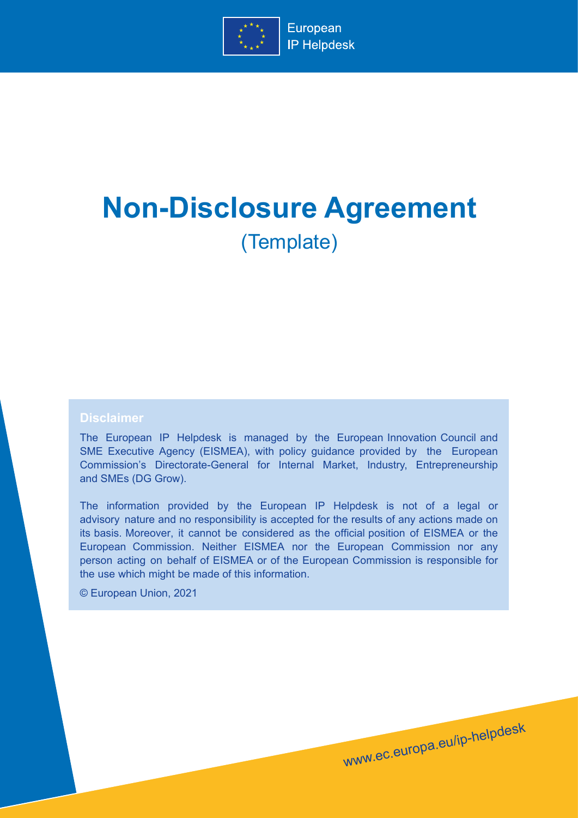

# **Non-Disclosure Agreement** (Template)

## **Disclaimer**

The European IP Helpdesk is managed by the European Innovation Council and SME Executive Agency (EISMEA), with policy guidance provided by the European Commission's Directorate-General for Internal Market, Industry, Entrepreneurship and SMEs (DG Grow).

The information provided by the European IP Helpdesk is not of a legal or advisory nature and no responsibility is accepted for the results of any actions made on its basis. Moreover, it cannot be considered as the official position of EISMEA or the European Commission. Neither EISMEA nor the European Commission nor any person acting on behalf of EISMEA or of the European Commission is responsible for the use which might be made of this information.

www.ec.europa.eu/ip-helpdesk

© European Union, 2021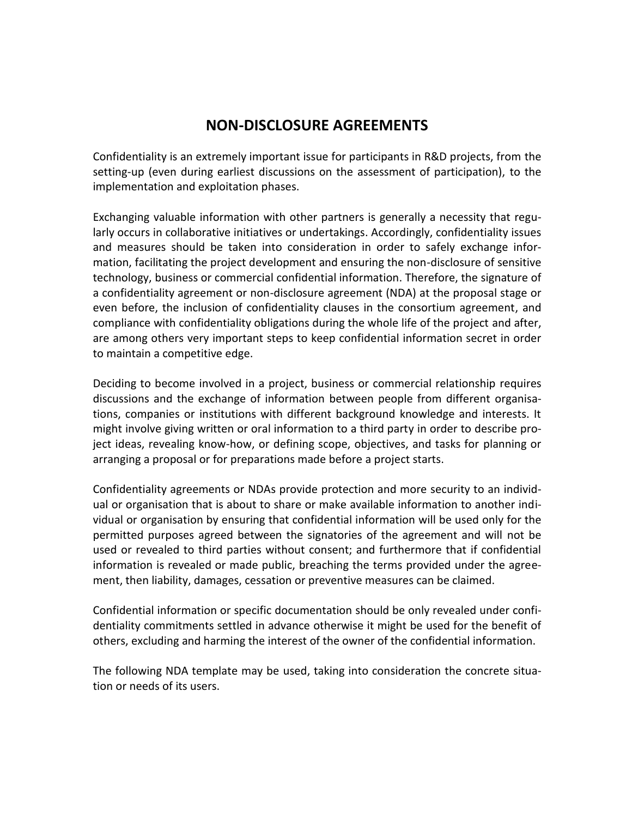# **NON-DISCLOSURE AGREEMENTS**

Confidentiality is an extremely important issue for participants in R&D projects, from the setting-up (even during earliest discussions on the assessment of participation), to the implementation and exploitation phases.

Exchanging valuable information with other partners is generally a necessity that regularly occurs in collaborative initiatives or undertakings. Accordingly, confidentiality issues and measures should be taken into consideration in order to safely exchange information, facilitating the project development and ensuring the non-disclosure of sensitive technology, business or commercial confidential information. Therefore, the signature of a confidentiality agreement or non-disclosure agreement (NDA) at the proposal stage or even before, the inclusion of confidentiality clauses in the consortium agreement, and compliance with confidentiality obligations during the whole life of the project and after, are among others very important steps to keep confidential information secret in order to maintain a competitive edge.

Deciding to become involved in a project, business or commercial relationship requires discussions and the exchange of information between people from different organisations, companies or institutions with different background knowledge and interests. It might involve giving written or oral information to a third party in order to describe project ideas, revealing know-how, or defining scope, objectives, and tasks for planning or arranging a proposal or for preparations made before a project starts.

Confidentiality agreements or NDAs provide protection and more security to an individual or organisation that is about to share or make available information to another individual or organisation by ensuring that confidential information will be used only for the permitted purposes agreed between the signatories of the agreement and will not be used or revealed to third parties without consent; and furthermore that if confidential information is revealed or made public, breaching the terms provided under the agreement, then liability, damages, cessation or preventive measures can be claimed.

Confidential information or specific documentation should be only revealed under confidentiality commitments settled in advance otherwise it might be used for the benefit of others, excluding and harming the interest of the owner of the confidential information.

The following NDA template may be used, taking into consideration the concrete situation or needs of its users.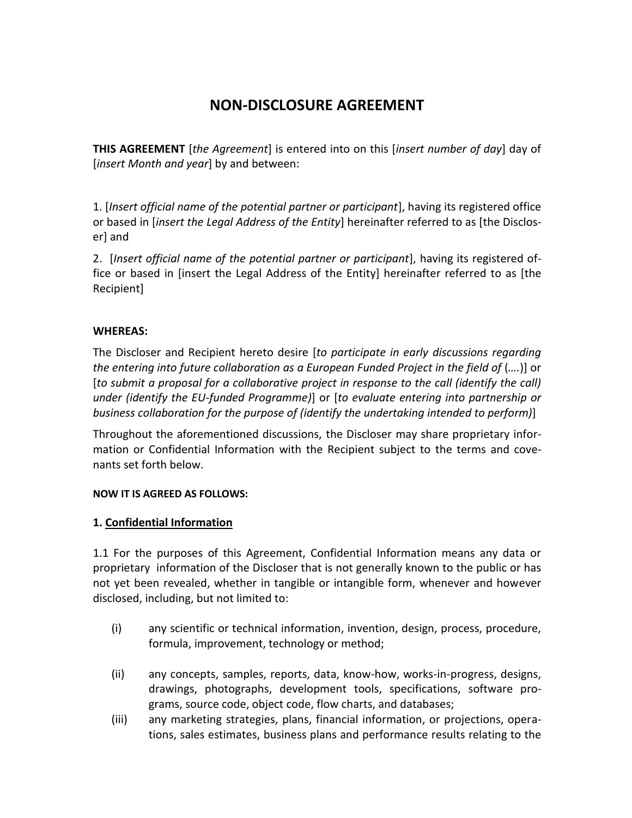# **NON-DISCLOSURE AGREEMENT**

**THIS AGREEMENT** [*the Agreement*] is entered into on this [*insert number of day*] day of [*insert Month and year*] by and between:

1. [*Insert official name of the potential partner or participant*], having its registered office or based in [*insert the Legal Address of the Entity*] hereinafter referred to as [the Discloser] and

2. [*Insert official name of the potential partner or participant*], having its registered office or based in [insert the Legal Address of the Entity] hereinafter referred to as [the Recipient]

# **WHEREAS:**

The Discloser and Recipient hereto desire [*to participate in early discussions regarding the entering into future collaboration as a European Funded Project in the field of (….)*] or [*to submit a proposal for a collaborative project in response to the call (identify the call) under (identify the EU-funded Programme)*] or [*to evaluate entering into partnership or business collaboration for the purpose of (identify the undertaking intended to perform)*]

Throughout the aforementioned discussions, the Discloser may share proprietary information or Confidential Information with the Recipient subject to the terms and covenants set forth below.

## **NOW IT IS AGREED AS FOLLOWS:**

# **1. Confidential Information**

1.1 For the purposes of this Agreement, Confidential Information means any data or proprietary information of the Discloser that is not generally known to the public or has not yet been revealed, whether in tangible or intangible form, whenever and however disclosed, including, but not limited to:

- (i) any scientific or technical information, invention, design, process, procedure, formula, improvement, technology or method;
- (ii) any concepts, samples, reports, data, know-how, works-in-progress, designs, drawings, photographs, development tools, specifications, software programs, source code, object code, flow charts, and databases;
- (iii) any marketing strategies, plans, financial information, or projections, operations, sales estimates, business plans and performance results relating to the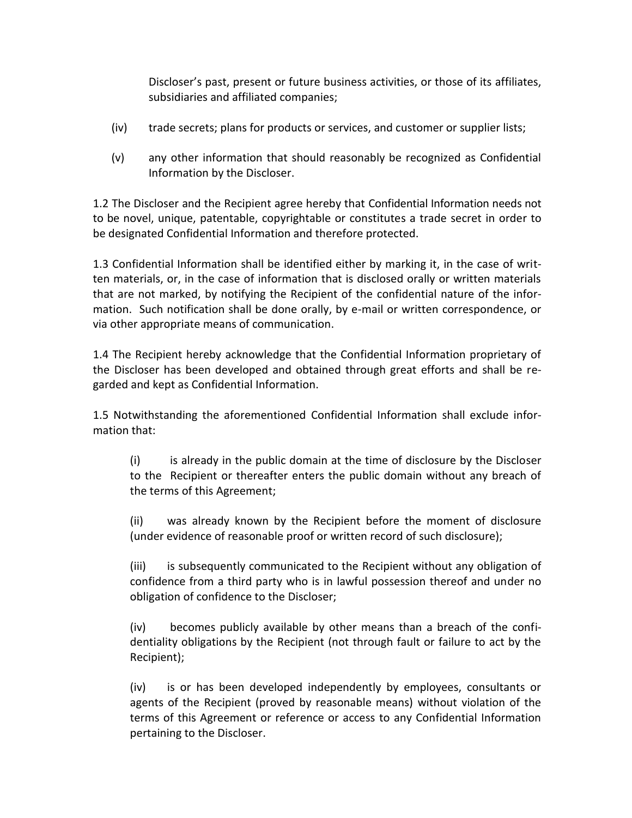Discloser's past, present or future business activities, or those of its affiliates, subsidiaries and affiliated companies;

- (iv) trade secrets; plans for products or services, and customer or supplier lists;
- (v) any other information that should reasonably be recognized as Confidential Information by the Discloser.

1.2 The Discloser and the Recipient agree hereby that Confidential Information needs not to be novel, unique, patentable, copyrightable or constitutes a trade secret in order to be designated Confidential Information and therefore protected.

1.3 Confidential Information shall be identified either by marking it, in the case of written materials, or, in the case of information that is disclosed orally or written materials that are not marked, by notifying the Recipient of the confidential nature of the information. Such notification shall be done orally, by e-mail or written correspondence, or via other appropriate means of communication.

1.4 The Recipient hereby acknowledge that the Confidential Information proprietary of the Discloser has been developed and obtained through great efforts and shall be regarded and kept as Confidential Information.

1.5 Notwithstanding the aforementioned Confidential Information shall exclude information that:

(i) is already in the public domain at the time of disclosure by the Discloser to the Recipient or thereafter enters the public domain without any breach of the terms of this Agreement;

(ii) was already known by the Recipient before the moment of disclosure (under evidence of reasonable proof or written record of such disclosure);

(iii) is subsequently communicated to the Recipient without any obligation of confidence from a third party who is in lawful possession thereof and under no obligation of confidence to the Discloser;

(iv) becomes publicly available by other means than a breach of the confidentiality obligations by the Recipient (not through fault or failure to act by the Recipient);

(iv) is or has been developed independently by employees, consultants or agents of the Recipient (proved by reasonable means) without violation of the terms of this Agreement or reference or access to any Confidential Information pertaining to the Discloser.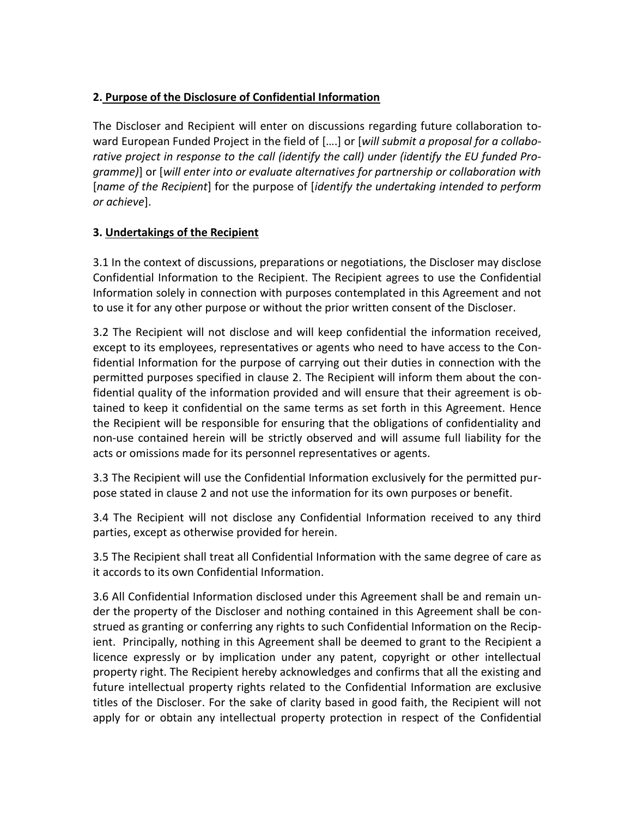# **2. Purpose of the Disclosure of Confidential Information**

The Discloser and Recipient will enter on discussions regarding future collaboration toward European Funded Project in the field of [….] or [*will submit a proposal for a collaborative project in response to the call (identify the call) under (identify the EU funded Programme)*] or [*will enter into or evaluate alternatives for partnership or collaboration with* [*name of the Recipient*] for the purpose of [*identify the undertaking intended to perform or achieve*].

# **3. Undertakings of the Recipient**

3.1 In the context of discussions, preparations or negotiations, the Discloser may disclose Confidential Information to the Recipient. The Recipient agrees to use the Confidential Information solely in connection with purposes contemplated in this Agreement and not to use it for any other purpose or without the prior written consent of the Discloser.

3.2 The Recipient will not disclose and will keep confidential the information received, except to its employees, representatives or agents who need to have access to the Confidential Information for the purpose of carrying out their duties in connection with the permitted purposes specified in clause 2. The Recipient will inform them about the confidential quality of the information provided and will ensure that their agreement is obtained to keep it confidential on the same terms as set forth in this Agreement. Hence the Recipient will be responsible for ensuring that the obligations of confidentiality and non-use contained herein will be strictly observed and will assume full liability for the acts or omissions made for its personnel representatives or agents.

3.3 The Recipient will use the Confidential Information exclusively for the permitted purpose stated in clause 2 and not use the information for its own purposes or benefit.

3.4 The Recipient will not disclose any Confidential Information received to any third parties, except as otherwise provided for herein.

3.5 The Recipient shall treat all Confidential Information with the same degree of care as it accords to its own Confidential Information.

3.6 All Confidential Information disclosed under this Agreement shall be and remain under the property of the Discloser and nothing contained in this Agreement shall be construed as granting or conferring any rights to such Confidential Information on the Recipient. Principally, nothing in this Agreement shall be deemed to grant to the Recipient a licence expressly or by implication under any patent, copyright or other intellectual property right. The Recipient hereby acknowledges and confirms that all the existing and future intellectual property rights related to the Confidential Information are exclusive titles of the Discloser. For the sake of clarity based in good faith, the Recipient will not apply for or obtain any intellectual property protection in respect of the Confidential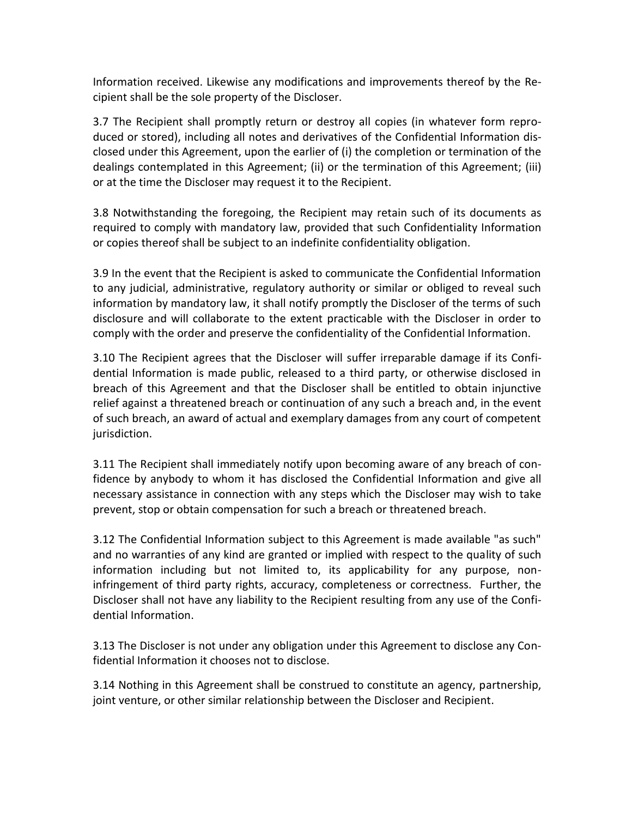Information received. Likewise any modifications and improvements thereof by the Recipient shall be the sole property of the Discloser.

3.7 The Recipient shall promptly return or destroy all copies (in whatever form reproduced or stored), including all notes and derivatives of the Confidential Information disclosed under this Agreement, upon the earlier of (i) the completion or termination of the dealings contemplated in this Agreement; (ii) or the termination of this Agreement; (iii) or at the time the Discloser may request it to the Recipient.

3.8 Notwithstanding the foregoing, the Recipient may retain such of its documents as required to comply with mandatory law, provided that such Confidentiality Information or copies thereof shall be subject to an indefinite confidentiality obligation.

3.9 In the event that the Recipient is asked to communicate the Confidential Information to any judicial, administrative, regulatory authority or similar or obliged to reveal such information by mandatory law, it shall notify promptly the Discloser of the terms of such disclosure and will collaborate to the extent practicable with the Discloser in order to comply with the order and preserve the confidentiality of the Confidential Information.

3.10 The Recipient agrees that the Discloser will suffer irreparable damage if its Confidential Information is made public, released to a third party, or otherwise disclosed in breach of this Agreement and that the Discloser shall be entitled to obtain injunctive relief against a threatened breach or continuation of any such a breach and, in the event of such breach, an award of actual and exemplary damages from any court of competent jurisdiction.

3.11 The Recipient shall immediately notify upon becoming aware of any breach of confidence by anybody to whom it has disclosed the Confidential Information and give all necessary assistance in connection with any steps which the Discloser may wish to take prevent, stop or obtain compensation for such a breach or threatened breach.

3.12 The Confidential Information subject to this Agreement is made available "as such" and no warranties of any kind are granted or implied with respect to the quality of such information including but not limited to, its applicability for any purpose, noninfringement of third party rights, accuracy, completeness or correctness. Further, the Discloser shall not have any liability to the Recipient resulting from any use of the Confidential Information.

3.13 The Discloser is not under any obligation under this Agreement to disclose any Confidential Information it chooses not to disclose.

3.14 Nothing in this Agreement shall be construed to constitute an agency, partnership, joint venture, or other similar relationship between the Discloser and Recipient.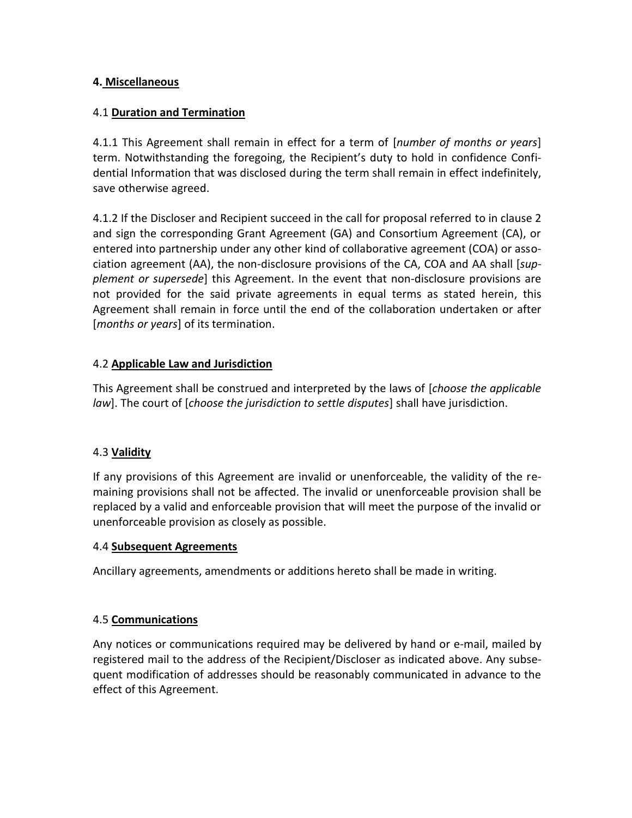# **4. Miscellaneous**

# 4.1 **Duration and Termination**

4.1.1 This Agreement shall remain in effect for a term of [*number of months or years*] term. Notwithstanding the foregoing, the Recipient's duty to hold in confidence Confidential Information that was disclosed during the term shall remain in effect indefinitely, save otherwise agreed.

4.1.2 If the Discloser and Recipient succeed in the call for proposal referred to in clause 2 and sign the corresponding Grant Agreement (GA) and Consortium Agreement (CA), or entered into partnership under any other kind of collaborative agreement (COA) or association agreement (AA), the non-disclosure provisions of the CA, COA and AA shall [*supplement or supersede*] this Agreement. In the event that non-disclosure provisions are not provided for the said private agreements in equal terms as stated herein, this Agreement shall remain in force until the end of the collaboration undertaken or after [*months or years*] of its termination.

# 4.2 **Applicable Law and Jurisdiction**

This Agreement shall be construed and interpreted by the laws of [*choose the applicable law*]. The court of [*choose the jurisdiction to settle disputes*] shall have jurisdiction.

## 4.3 **Validity**

If any provisions of this Agreement are invalid or unenforceable, the validity of the remaining provisions shall not be affected. The invalid or unenforceable provision shall be replaced by a valid and enforceable provision that will meet the purpose of the invalid or unenforceable provision as closely as possible.

## 4.4 **Subsequent Agreements**

Ancillary agreements, amendments or additions hereto shall be made in writing.

## 4.5 **Communications**

Any notices or communications required may be delivered by hand or e-mail, mailed by registered mail to the address of the Recipient/Discloser as indicated above. Any subsequent modification of addresses should be reasonably communicated in advance to the effect of this Agreement.